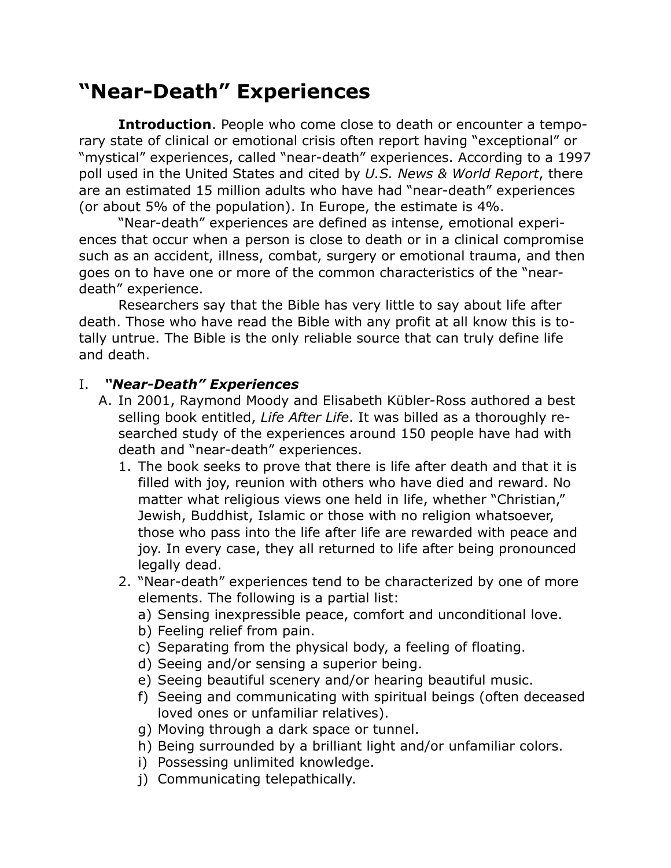## **"Near-Death" Experiences**

**Introduction**. People who come close to death or encounter a temporary state of clinical or emotional crisis often report having "exceptional" or "mystical" experiences, called "near-death" experiences. According to a 1997 poll used in the United States and cited by *U.S. News & World Report*, there are an estimated 15 million adults who have had "near-death" experiences (or about 5% of the population). In Europe, the estimate is 4%.

"Near-death" experiences are defined as intense, emotional experiences that occur when a person is close to death or in a clinical compromise such as an accident, illness, combat, surgery or emotional trauma, and then goes on to have one or more of the common characteristics of the "neardeath" experience.

Researchers say that the Bible has very little to say about life after death. Those who have read the Bible with any profit at all know this is totally untrue. The Bible is the only reliable source that can truly define life and death.

## I. *"Near-Death" Experiences*

- A. In 2001, Raymond Moody and Elisabeth Kübler-Ross authored a best selling book entitled, *Life After Life*. It was billed as a thoroughly researched study of the experiences around 150 people have had with death and "near-death" experiences.
	- 1. The book seeks to prove that there is life after death and that it is filled with joy, reunion with others who have died and reward. No matter what religious views one held in life, whether "Christian," Jewish, Buddhist, Islamic or those with no religion whatsoever, those who pass into the life after life are rewarded with peace and joy. In every case, they all returned to life after being pronounced legally dead.
	- 2. "Near-death" experiences tend to be characterized by one of more elements. The following is a partial list:
		- a) Sensing inexpressible peace, comfort and unconditional love.
		- b) Feeling relief from pain.
		- c) Separating from the physical body, a feeling of floating.
		- d) Seeing and/or sensing a superior being.
		- e) Seeing beautiful scenery and/or hearing beautiful music.
		- f) Seeing and communicating with spiritual beings (often deceased loved ones or unfamiliar relatives).
		- g) Moving through a dark space or tunnel.
		- h) Being surrounded by a brilliant light and/or unfamiliar colors.
		- i) Possessing unlimited knowledge.
		- j) Communicating telepathically.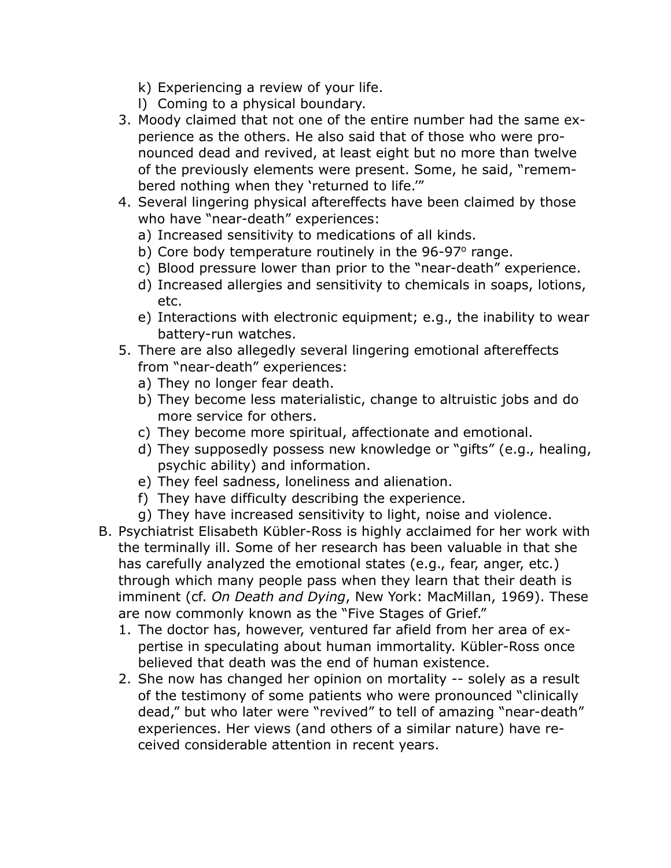- k) Experiencing a review of your life.
- l) Coming to a physical boundary.
- 3. Moody claimed that not one of the entire number had the same experience as the others. He also said that of those who were pronounced dead and revived, at least eight but no more than twelve of the previously elements were present. Some, he said, "remembered nothing when they 'returned to life.'"
- 4. Several lingering physical aftereffects have been claimed by those who have "near-death" experiences:
	- a) Increased sensitivity to medications of all kinds.
	- b) Core body temperature routinely in the 96-97° range.
	- c) Blood pressure lower than prior to the "near-death" experience.
	- d) Increased allergies and sensitivity to chemicals in soaps, lotions, etc.
	- e) Interactions with electronic equipment; e.g., the inability to wear battery-run watches.
- 5. There are also allegedly several lingering emotional aftereffects from "near-death" experiences:
	- a) They no longer fear death.
	- b) They become less materialistic, change to altruistic jobs and do more service for others.
	- c) They become more spiritual, affectionate and emotional.
	- d) They supposedly possess new knowledge or "gifts" (e.g., healing, psychic ability) and information.
	- e) They feel sadness, loneliness and alienation.
	- f) They have difficulty describing the experience.
	- g) They have increased sensitivity to light, noise and violence.
- B. Psychiatrist Elisabeth Kübler-Ross is highly acclaimed for her work with the terminally ill. Some of her research has been valuable in that she has carefully analyzed the emotional states (e.g., fear, anger, etc.) through which many people pass when they learn that their death is imminent (cf. *On Death and Dying*, New York: MacMillan, 1969). These are now commonly known as the "Five Stages of Grief."
	- 1. The doctor has, however, ventured far afield from her area of expertise in speculating about human immortality. Kübler-Ross once believed that death was the end of human existence.
	- 2. She now has changed her opinion on mortality -- solely as a result of the testimony of some patients who were pronounced "clinically dead," but who later were "revived" to tell of amazing "near-death" experiences. Her views (and others of a similar nature) have received considerable attention in recent years.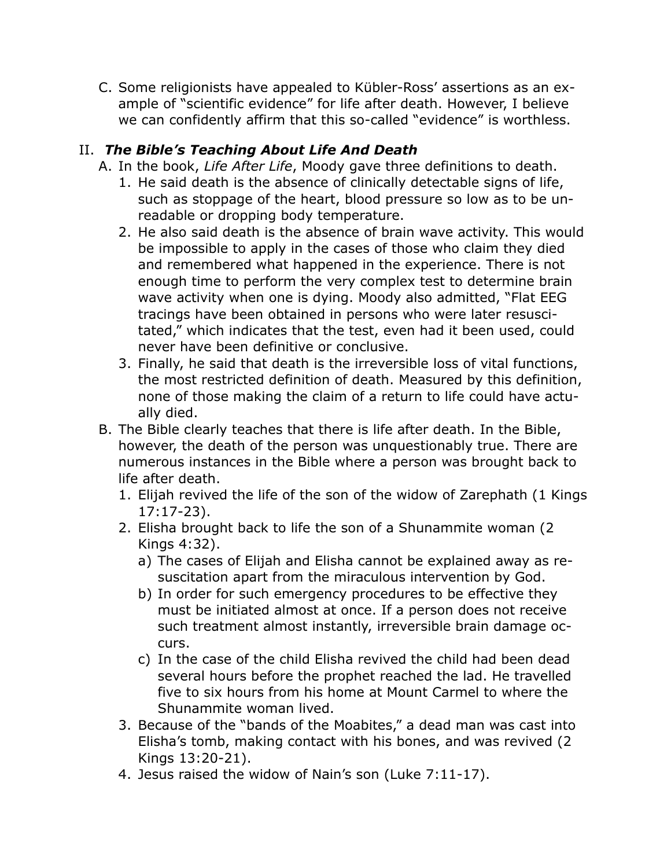C. Some religionists have appealed to Kübler-Ross' assertions as an example of "scientific evidence" for life after death. However, I believe we can confidently affirm that this so-called "evidence" is worthless.

## II. *The Bible's Teaching About Life And Death*

- A. In the book, *Life After Life*, Moody gave three definitions to death.
	- 1. He said death is the absence of clinically detectable signs of life, such as stoppage of the heart, blood pressure so low as to be unreadable or dropping body temperature.
	- 2. He also said death is the absence of brain wave activity. This would be impossible to apply in the cases of those who claim they died and remembered what happened in the experience. There is not enough time to perform the very complex test to determine brain wave activity when one is dying. Moody also admitted, "Flat EEG tracings have been obtained in persons who were later resuscitated," which indicates that the test, even had it been used, could never have been definitive or conclusive.
	- 3. Finally, he said that death is the irreversible loss of vital functions, the most restricted definition of death. Measured by this definition, none of those making the claim of a return to life could have actually died.
- B. The Bible clearly teaches that there is life after death. In the Bible, however, the death of the person was unquestionably true. There are numerous instances in the Bible where a person was brought back to life after death.
	- 1. Elijah revived the life of the son of the widow of Zarephath (1 Kings 17:17-23).
	- 2. Elisha brought back to life the son of a Shunammite woman (2 Kings 4:32).
		- a) The cases of Elijah and Elisha cannot be explained away as resuscitation apart from the miraculous intervention by God.
		- b) In order for such emergency procedures to be effective they must be initiated almost at once. If a person does not receive such treatment almost instantly, irreversible brain damage occurs.
		- c) In the case of the child Elisha revived the child had been dead several hours before the prophet reached the lad. He travelled five to six hours from his home at Mount Carmel to where the Shunammite woman lived.
	- 3. Because of the "bands of the Moabites," a dead man was cast into Elisha's tomb, making contact with his bones, and was revived (2 Kings 13:20-21).
	- 4. Jesus raised the widow of Nain's son (Luke 7:11-17).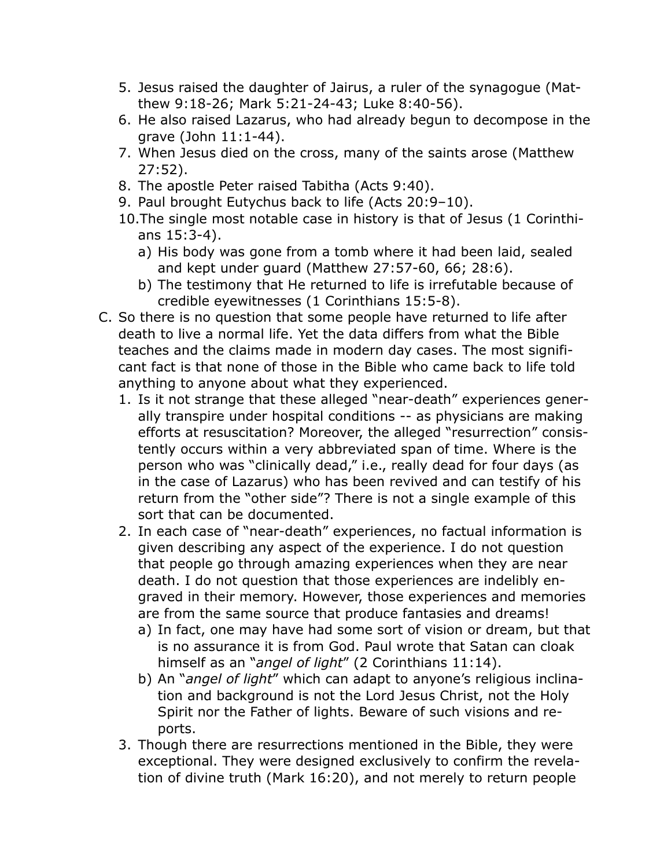- 5. Jesus raised the daughter of Jairus, a ruler of the synagogue (Matthew 9:18-26; Mark 5:21-24-43; Luke 8:40-56).
- 6. He also raised Lazarus, who had already begun to decompose in the grave (John 11:1-44).
- 7. When Jesus died on the cross, many of the saints arose (Matthew 27:52).
- 8. The apostle Peter raised Tabitha (Acts 9:40).
- 9. Paul brought Eutychus back to life (Acts 20:9–10).
- 10.The single most notable case in history is that of Jesus (1 Corinthians 15:3-4).
	- a) His body was gone from a tomb where it had been laid, sealed and kept under guard (Matthew 27:57-60, 66; 28:6).
	- b) The testimony that He returned to life is irrefutable because of credible eyewitnesses (1 Corinthians 15:5-8).
- C. So there is no question that some people have returned to life after death to live a normal life. Yet the data differs from what the Bible teaches and the claims made in modern day cases. The most significant fact is that none of those in the Bible who came back to life told anything to anyone about what they experienced.
	- 1. Is it not strange that these alleged "near-death" experiences generally transpire under hospital conditions -- as physicians are making efforts at resuscitation? Moreover, the alleged "resurrection" consistently occurs within a very abbreviated span of time. Where is the person who was "clinically dead," i.e., really dead for four days (as in the case of Lazarus) who has been revived and can testify of his return from the "other side"? There is not a single example of this sort that can be documented.
	- 2. In each case of "near-death" experiences, no factual information is given describing any aspect of the experience. I do not question that people go through amazing experiences when they are near death. I do not question that those experiences are indelibly engraved in their memory. However, those experiences and memories are from the same source that produce fantasies and dreams!
		- a) In fact, one may have had some sort of vision or dream, but that is no assurance it is from God. Paul wrote that Satan can cloak himself as an "*angel of light*" (2 Corinthians 11:14).
		- b) An "*angel of light*" which can adapt to anyone's religious inclination and background is not the Lord Jesus Christ, not the Holy Spirit nor the Father of lights. Beware of such visions and reports.
	- 3. Though there are resurrections mentioned in the Bible, they were exceptional. They were designed exclusively to confirm the revelation of divine truth (Mark 16:20), and not merely to return people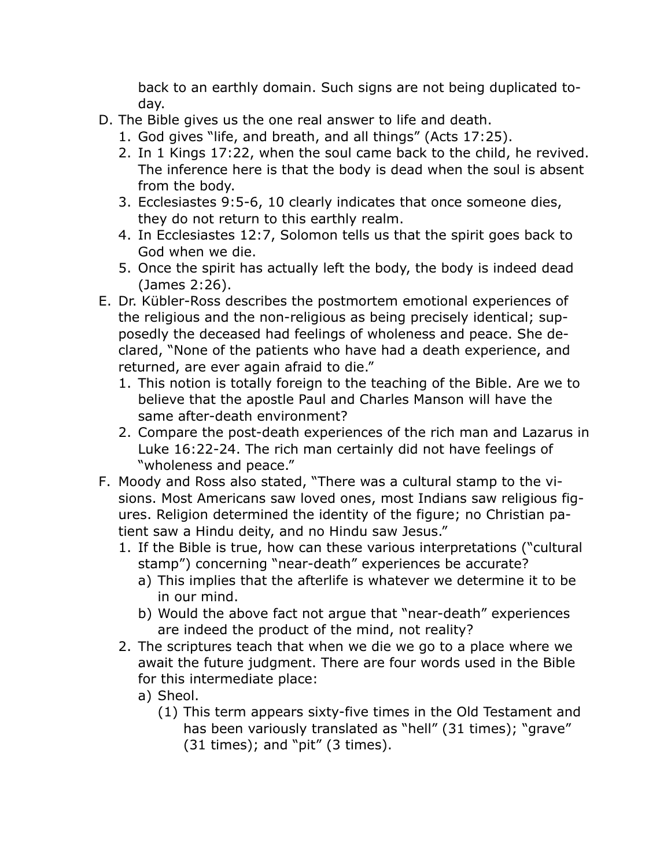back to an earthly domain. Such signs are not being duplicated today.

- D. The Bible gives us the one real answer to life and death.
	- 1. God gives "life, and breath, and all things" (Acts 17:25).
	- 2. In 1 Kings 17:22, when the soul came back to the child, he revived. The inference here is that the body is dead when the soul is absent from the body.
	- 3. Ecclesiastes 9:5-6, 10 clearly indicates that once someone dies, they do not return to this earthly realm.
	- 4. In Ecclesiastes 12:7, Solomon tells us that the spirit goes back to God when we die.
	- 5. Once the spirit has actually left the body, the body is indeed dead (James 2:26).
- E. Dr. Kübler-Ross describes the postmortem emotional experiences of the religious and the non-religious as being precisely identical; supposedly the deceased had feelings of wholeness and peace. She declared, "None of the patients who have had a death experience, and returned, are ever again afraid to die."
	- 1. This notion is totally foreign to the teaching of the Bible. Are we to believe that the apostle Paul and Charles Manson will have the same after-death environment?
	- 2. Compare the post-death experiences of the rich man and Lazarus in Luke 16:22-24. The rich man certainly did not have feelings of "wholeness and peace."
- F. Moody and Ross also stated, "There was a cultural stamp to the visions. Most Americans saw loved ones, most Indians saw religious figures. Religion determined the identity of the figure; no Christian patient saw a Hindu deity, and no Hindu saw Jesus."
	- 1. If the Bible is true, how can these various interpretations ("cultural stamp") concerning "near-death" experiences be accurate?
		- a) This implies that the afterlife is whatever we determine it to be in our mind.
		- b) Would the above fact not argue that "near-death" experiences are indeed the product of the mind, not reality?
	- 2. The scriptures teach that when we die we go to a place where we await the future judgment. There are four words used in the Bible for this intermediate place:
		- a) Sheol.
			- (1) This term appears sixty-five times in the Old Testament and has been variously translated as "hell" (31 times); "grave"  $(31 \text{ times})$ ; and "pit"  $(3 \text{ times})$ .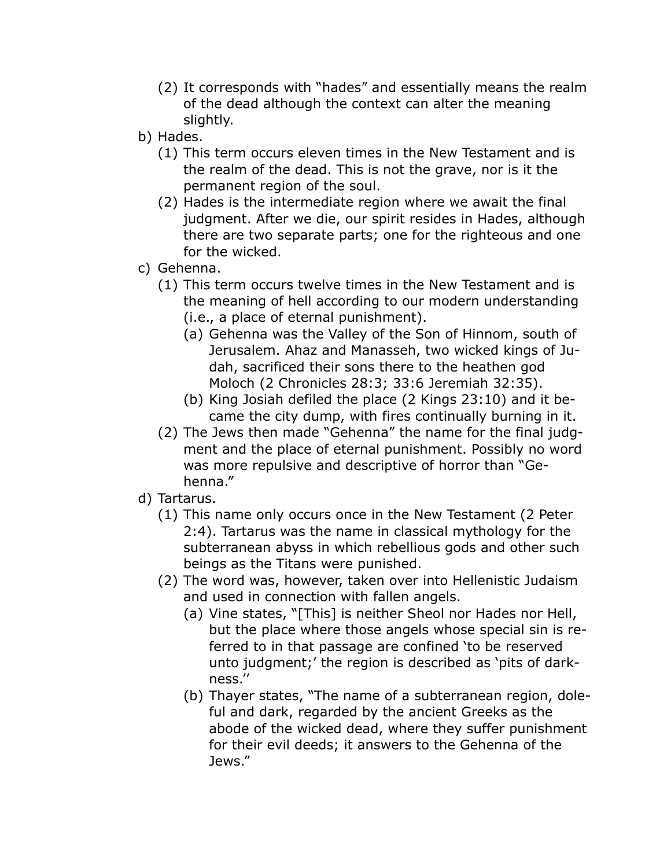- (2) It corresponds with "hades" and essentially means the realm of the dead although the context can alter the meaning slightly.
- b) Hades.
	- (1) This term occurs eleven times in the New Testament and is the realm of the dead. This is not the grave, nor is it the permanent region of the soul.
	- (2) Hades is the intermediate region where we await the final judgment. After we die, our spirit resides in Hades, although there are two separate parts; one for the righteous and one for the wicked.
- c) Gehenna.
	- (1) This term occurs twelve times in the New Testament and is the meaning of hell according to our modern understanding (i.e., a place of eternal punishment).
		- (a) Gehenna was the Valley of the Son of Hinnom, south of Jerusalem. Ahaz and Manasseh, two wicked kings of Judah, sacrificed their sons there to the heathen god Moloch (2 Chronicles 28:3; 33:6 Jeremiah 32:35).
		- (b) King Josiah defiled the place (2 Kings 23:10) and it became the city dump, with fires continually burning in it.
	- (2) The Jews then made "Gehenna" the name for the final judgment and the place of eternal punishment. Possibly no word was more repulsive and descriptive of horror than "Gehenna."
- d) Tartarus.
	- (1) This name only occurs once in the New Testament (2 Peter 2:4). Tartarus was the name in classical mythology for the subterranean abyss in which rebellious gods and other such beings as the Titans were punished.
	- (2) The word was, however, taken over into Hellenistic Judaism and used in connection with fallen angels.
		- (a) Vine states, "[This] is neither Sheol nor Hades nor Hell, but the place where those angels whose special sin is referred to in that passage are confined 'to be reserved unto judgment;' the region is described as 'pits of darkness.''
		- (b) Thayer states, "The name of a subterranean region, doleful and dark, regarded by the ancient Greeks as the abode of the wicked dead, where they suffer punishment for their evil deeds; it answers to the Gehenna of the Jews."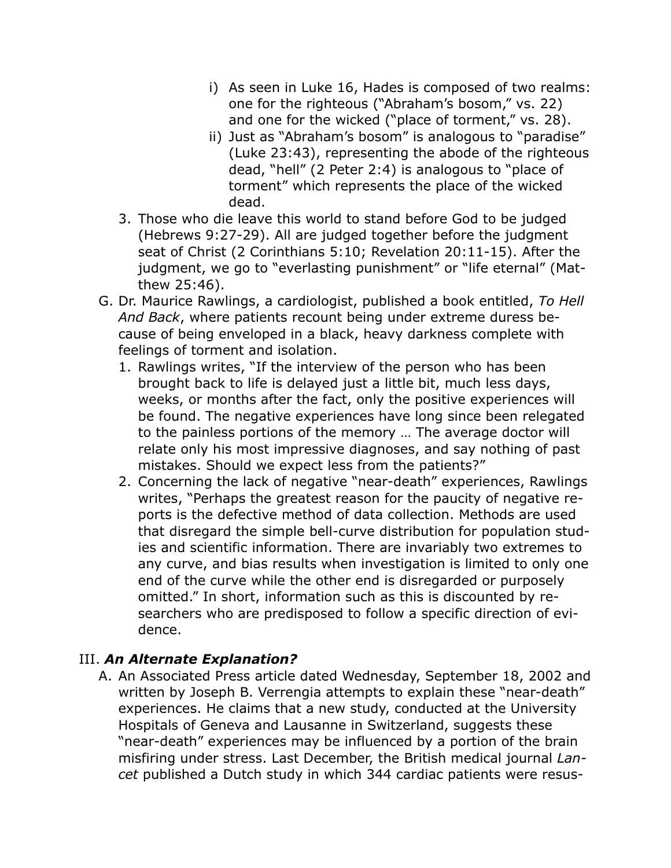- i) As seen in Luke 16, Hades is composed of two realms: one for the righteous ("Abraham's bosom," vs. 22) and one for the wicked ("place of torment," vs. 28).
- ii) Just as "Abraham's bosom" is analogous to "paradise" (Luke 23:43), representing the abode of the righteous dead, "hell" (2 Peter 2:4) is analogous to "place of torment" which represents the place of the wicked dead.
- 3. Those who die leave this world to stand before God to be judged (Hebrews 9:27-29). All are judged together before the judgment seat of Christ (2 Corinthians 5:10; Revelation 20:11-15). After the judgment, we go to "everlasting punishment" or "life eternal" (Matthew 25:46).
- G. Dr. Maurice Rawlings, a cardiologist, published a book entitled, *To Hell And Back*, where patients recount being under extreme duress because of being enveloped in a black, heavy darkness complete with feelings of torment and isolation.
	- 1. Rawlings writes, "If the interview of the person who has been brought back to life is delayed just a little bit, much less days, weeks, or months after the fact, only the positive experiences will be found. The negative experiences have long since been relegated to the painless portions of the memory … The average doctor will relate only his most impressive diagnoses, and say nothing of past mistakes. Should we expect less from the patients?"
	- 2. Concerning the lack of negative "near-death" experiences, Rawlings writes, "Perhaps the greatest reason for the paucity of negative reports is the defective method of data collection. Methods are used that disregard the simple bell-curve distribution for population studies and scientific information. There are invariably two extremes to any curve, and bias results when investigation is limited to only one end of the curve while the other end is disregarded or purposely omitted." In short, information such as this is discounted by researchers who are predisposed to follow a specific direction of evidence.

## III. *An Alternate Explanation?*

A. An Associated Press article dated Wednesday, September 18, 2002 and written by Joseph B. Verrengia attempts to explain these "near-death" experiences. He claims that a new study, conducted at the University Hospitals of Geneva and Lausanne in Switzerland, suggests these "near-death" experiences may be influenced by a portion of the brain misfiring under stress. Last December, the British medical journal *Lancet* published a Dutch study in which 344 cardiac patients were resus-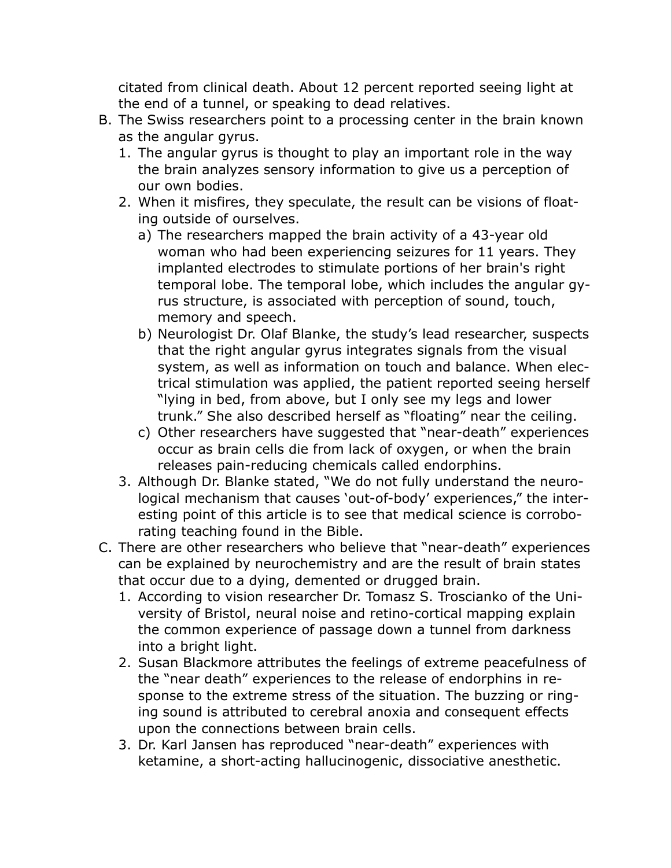citated from clinical death. About 12 percent reported seeing light at the end of a tunnel, or speaking to dead relatives.

- B. The Swiss researchers point to a processing center in the brain known as the angular gyrus.
	- 1. The angular gyrus is thought to play an important role in the way the brain analyzes sensory information to give us a perception of our own bodies.
	- 2. When it misfires, they speculate, the result can be visions of floating outside of ourselves.
		- a) The researchers mapped the brain activity of a 43-year old woman who had been experiencing seizures for 11 years. They implanted electrodes to stimulate portions of her brain's right temporal lobe. The temporal lobe, which includes the angular gyrus structure, is associated with perception of sound, touch, memory and speech.
		- b) Neurologist Dr. Olaf Blanke, the study's lead researcher, suspects that the right angular gyrus integrates signals from the visual system, as well as information on touch and balance. When electrical stimulation was applied, the patient reported seeing herself "lying in bed, from above, but I only see my legs and lower trunk." She also described herself as "floating" near the ceiling.
		- c) Other researchers have suggested that "near-death" experiences occur as brain cells die from lack of oxygen, or when the brain releases pain-reducing chemicals called endorphins.
	- 3. Although Dr. Blanke stated, "We do not fully understand the neurological mechanism that causes 'out-of-body' experiences," the interesting point of this article is to see that medical science is corroborating teaching found in the Bible.
- C. There are other researchers who believe that "near-death" experiences can be explained by neurochemistry and are the result of brain states that occur due to a dying, demented or drugged brain.
	- 1. According to vision researcher Dr. Tomasz S. Troscianko of the University of Bristol, neural noise and retino-cortical mapping explain the common experience of passage down a tunnel from darkness into a bright light.
	- 2. Susan Blackmore attributes the feelings of extreme peacefulness of the "near death" experiences to the release of endorphins in response to the extreme stress of the situation. The buzzing or ringing sound is attributed to cerebral anoxia and consequent effects upon the connections between brain cells.
	- 3. Dr. Karl Jansen has reproduced "near-death" experiences with ketamine, a short-acting hallucinogenic, dissociative anesthetic.